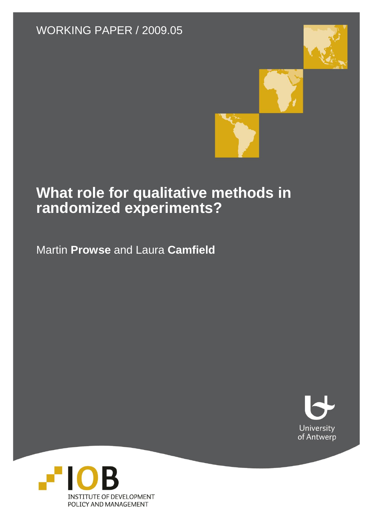#### WORKING PAPER / 2009.05





### **What role for qualitative methods in randomized experiments?**

Martin **Prowse** and Laura **Camfield**



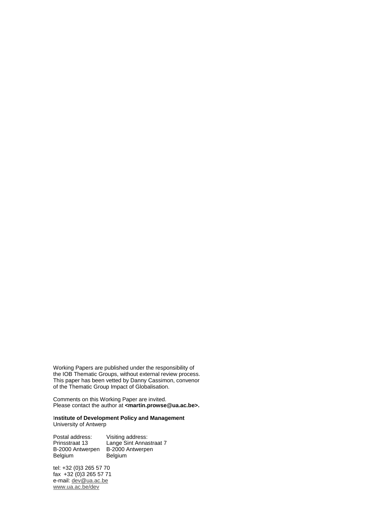Working Papers are published under the responsibility of the IOB Thematic Groups, without external review process. This paper has been vetted by Danny Cassimon, convenor of the Thematic Group Impact of Globalisation.

Comments on this Working Paper are invited. Please contact the author at **<martin.prowse@ua.ac.be>.**

#### I**nstitute of Development Policy and Management** University of Antwerp

Postal address: Visiting address: Prinsstraat 13 Lange Sint Annastraat 7 B-2000 Antwerpen B-2000 Antwerpen Belgium Belgium

tel: +32 (0)3 265 57 70 fax +32 (0)3 265 57 71 e-mail: <u>dev@ua.ac.be</u> www.ua.ac.be/dev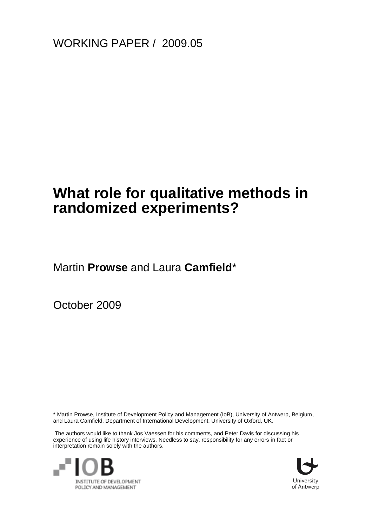WORKING PAPER / 2009.05

### **What role for qualitative methods in randomized experiments?**

Martin **Prowse** and Laura **Camfield**\*

October 2009

\* Martin Prowse, Institute of Development Policy and Management (IoB), University of Antwerp, Belgium, and Laura Camfield, Department of International Development, University of Oxford, UK.

The authors would like to thank Jos Vaessen for his comments, and Peter Davis for discussing his experience of using life history interviews. Needless to say, responsibility for any errors in fact or interpretation remain solely with the authors.



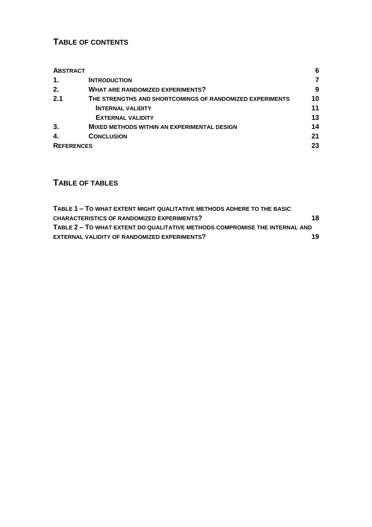#### **TABLE OF CONTENTS**

| <b>ABSTRACT</b>   |                                                          | 6  |  |  |
|-------------------|----------------------------------------------------------|----|--|--|
| 1.                | <b>INTRODUCTION</b>                                      |    |  |  |
| 2.                | <b>WHAT ARE RANDOMIZED EXPERIMENTS?</b>                  | 9  |  |  |
| 2.1               | THE STRENGTHS AND SHORTCOMINGS OF RANDOMIZED EXPERIMENTS | 10 |  |  |
|                   | <b>INTERNAL VALIDITY</b>                                 | 11 |  |  |
|                   | <b>EXTERNAL VALIDITY</b>                                 | 13 |  |  |
| 3.                | <b>MIXED METHODS WITHIN AN EXPERIMENTAL DESIGN</b>       | 14 |  |  |
| 4.                | <b>CONCLUSION</b>                                        | 21 |  |  |
| <b>REFERENCES</b> |                                                          |    |  |  |

#### **TABLE OF TABLES**

| TABLE 1 - TO WHAT EXTENT MIGHT QUALITATIVE METHODS ADHERE TO THE BASIC      |    |
|-----------------------------------------------------------------------------|----|
| <b>CHARACTERISTICS OF RANDOMIZED EXPERIMENTS?</b>                           | 18 |
| TABLE 2 - TO WHAT EXTENT DO QUALITATIVE METHODS COMPROMISE THE INTERNAL AND |    |
| <b>EXTERNAL VALIDITY OF RANDOMIZED EXPERIMENTS?</b>                         | 19 |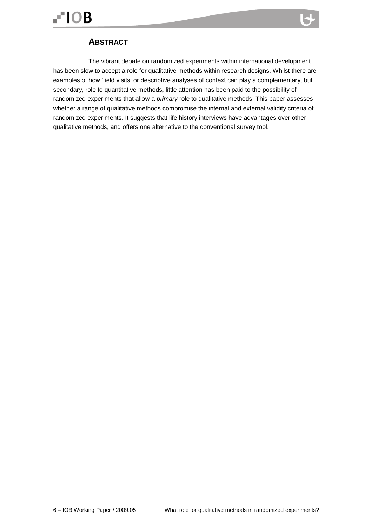<span id="page-5-0"></span>

The vibrant debate on randomized experiments within international development has been slow to accept a role for qualitative methods within research designs. Whilst there are examples of how "field visits" or descriptive analyses of context can play a complementary, but secondary, role to quantitative methods, little attention has been paid to the possibility of randomized experiments that allow a *primary* role to qualitative methods. This paper assesses whether a range of qualitative methods compromise the internal and external validity criteria of randomized experiments. It suggests that life history interviews have advantages over other qualitative methods, and offers one alternative to the conventional survey tool.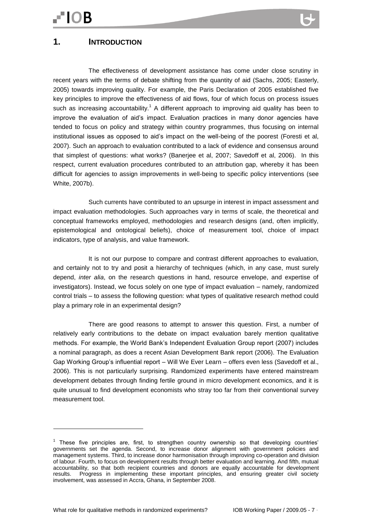<span id="page-6-0"></span>The effectiveness of development assistance has come under close scrutiny in recent years with the terms of debate shifting from the quantity of aid (Sachs, 2005; Easterly, 2005) towards improving quality. For example, the Paris Declaration of 2005 established five key principles to improve the effectiveness of aid flows, four of which focus on process issues such as increasing accountability.<sup>1</sup> A different approach to improving aid quality has been to improve the evaluation of aid"s impact. Evaluation practices in many donor agencies have tended to focus on policy and strategy within country programmes, thus focusing on internal institutional issues as opposed to aid"s impact on the well-being of the poorest (Foresti et al, 2007). Such an approach to evaluation contributed to a lack of evidence and consensus around that simplest of questions: what works? (Banerjee et al, 2007; Savedoff et al, 2006). In this respect, current evaluation procedures contributed to an attribution gap, whereby it has been difficult for agencies to assign improvements in well-being to specific policy interventions (see White, 2007b).

Such currents have contributed to an upsurge in interest in impact assessment and impact evaluation methodologies. Such approaches vary in terms of scale, the theoretical and conceptual frameworks employed, methodologies and research designs (and, often implicitly, epistemological and ontological beliefs), choice of measurement tool, choice of impact indicators, type of analysis, and value framework.

It is not our purpose to compare and contrast different approaches to evaluation, and certainly not to try and posit a hierarchy of techniques (which, in any case, must surely depend, *inter alia*, on the research questions in hand, resource envelope, and expertise of investigators). Instead, we focus solely on one type of impact evaluation – namely, randomized control trials – to assess the following question: what types of qualitative research method could play a primary role in an experimental design?

There are good reasons to attempt to answer this question. First, a number of relatively early contributions to the debate on impact evaluation barely mention qualitative methods. For example, the World Bank"s Independent Evaluation Group report (2007) includes a nominal paragraph, as does a recent Asian Development Bank report (2006). The Evaluation Gap Working Group"s influential report – Will We Ever Learn – offers even less (Savedoff et al., 2006). This is not particularly surprising. Randomized experiments have entered mainstream development debates through finding fertile ground in micro development economics, and it is quite unusual to find development economists who stray too far from their conventional survey measurement tool.

<sup>&</sup>lt;sup>1</sup> These five principles are, first, to strengthen country ownership so that developing countries' governments set the agenda. Second, to increase donor alignment with government policies and management systems. Third, to increase donor harmonisation through improving co-operation and division of labour. Fourth, to focus on development results through better evaluation and learning. And fifth, mutual accountability, so that both recipient countries and donors are equally accountable for development results. Progress in implementing these important principles, and ensuring greater civil society involvement, was assessed in Accra, Ghana, in September 2008.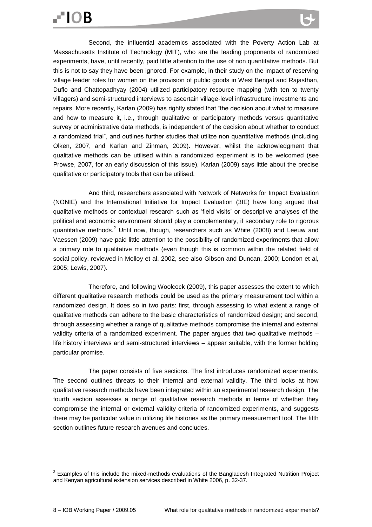Second, the influential academics associated with the Poverty Action Lab at Massachusetts Institute of Technology (MIT), who are the leading proponents of randomized experiments, have, until recently, paid little attention to the use of non quantitative methods. But this is not to say they have been ignored. For example, in their study on the impact of reserving village leader roles for women on the provision of public goods in West Bengal and Rajasthan, Duflo and Chattopadhyay (2004) utilized participatory resource mapping (with ten to twenty villagers) and semi-structured interviews to ascertain village-level infrastructure investments and repairs. More recently, Karlan (2009) has rightly stated that "the decision about what to measure and how to measure it, i.e., through qualitative or participatory methods versus quantitative survey or administrative data methods, is independent of the decision about whether to conduct a randomized trial", and outlines further studies that utilize non quantitative methods (including Olken, 2007, and Karlan and Zinman, 2009). However, whilst the acknowledgment that qualitative methods can be utilised within a randomized experiment is to be welcomed (see Prowse, 2007, for an early discussion of this issue), Karlan (2009) says little about the precise qualitative or participatory tools that can be utilised.

And third, researchers associated with Network of Networks for Impact Evaluation (NONIE) and the International Initiative for Impact Evaluation (3IE) have long argued that qualitative methods or contextual research such as "field visits" or descriptive analyses of the political and economic environment should play a complementary, if secondary role to rigorous quantitative methods.<sup>2</sup> Until now, though, researchers such as White (2008) and Leeuw and Vaessen (2009) have paid little attention to the possibility of randomized experiments that allow a primary role to qualitative methods (even though this is common within the related field of social policy, reviewed in Molloy et al. 2002, see also Gibson and Duncan, 2000; London et al, 2005; Lewis, 2007).

Therefore, and following Woolcock (2009), this paper assesses the extent to which different qualitative research methods could be used as the primary measurement tool within a randomized design. It does so in two parts: first, through assessing to what extent a range of qualitative methods can adhere to the basic characteristics of randomized design; and second, through assessing whether a range of qualitative methods compromise the internal and external validity criteria of a randomized experiment. The paper argues that two qualitative methods – life history interviews and semi-structured interviews – appear suitable, with the former holding particular promise.

The paper consists of five sections. The first introduces randomized experiments. The second outlines threats to their internal and external validity. The third looks at how qualitative research methods have been integrated within an experimental research design. The fourth section assesses a range of qualitative research methods in terms of whether they compromise the internal or external validity criteria of randomized experiments, and suggests there may be particular value in utilizing life histories as the primary measurement tool. The fifth section outlines future research avenues and concludes.

 $2$  Examples of this include the mixed-methods evaluations of the Bangladesh Integrated Nutrition Project and Kenyan agricultural extension services described in White 2006, p. 32-37.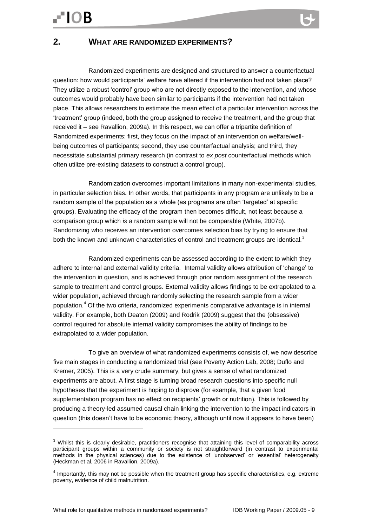#### <span id="page-8-0"></span>**2. WHAT ARE RANDOMIZED EXPERIMENTS?**

Randomized experiments are designed and structured to answer a counterfactual question: how would participants' welfare have altered if the intervention had not taken place? They utilize a robust "control" group who are not directly exposed to the intervention, and whose outcomes would probably have been similar to participants if the intervention had not taken place. This allows researchers to estimate the mean effect of a particular intervention across the "treatment" group (indeed, both the group assigned to receive the treatment, and the group that received it – see Ravallion, 2009a). In this respect, we can offer a tripartite definition of Randomized experiments: first, they focus on the impact of an intervention on welfare/wellbeing outcomes of participants; second, they use counterfactual analysis; and third, they necessitate substantial primary research (in contrast to *ex post* counterfactual methods which often utilize pre-existing datasets to construct a control group).

Randomization overcomes important limitations in many non-experimental studies, in particular selection bias**.** In other words, that participants in any program are unlikely to be a random sample of the population as a whole (as programs are often "targeted" at specific groups). Evaluating the efficacy of the program then becomes difficult, not least because a comparison group which *is* a random sample will not be comparable (White, 2007b). Randomizing who receives an intervention overcomes selection bias by trying to ensure that both the known and unknown characteristics of control and treatment groups are identical.<sup>3</sup>

Randomized experiments can be assessed according to the extent to which they adhere to internal and external validity criteria. Internal validity allows attribution of "change" to the intervention in question, and is achieved through prior random assignment of the research sample to treatment and control groups. External validity allows findings to be extrapolated to a wider population, achieved through randomly selecting the research sample from a wider population.<sup>4</sup> Of the two criteria, randomized experiments comparative advantage is in internal validity. For example, both Deaton (2009) and Rodrik (2009) suggest that the (obsessive) control required for absolute internal validity compromises the ability of findings to be extrapolated to a wider population.

To give an overview of what randomized experiments consists of, we now describe five main stages in conducting a randomized trial (see Poverty Action Lab, 2008; Duflo and Kremer, 2005). This is a very crude summary, but gives a sense of what randomized experiments are about. A first stage is turning broad research questions into specific null hypotheses that the experiment is hoping to disprove (for example, that a given food supplementation program has no effect on recipients' growth or nutrition). This is followed by producing a theory-led assumed causal chain linking the intervention to the impact indicators in question (this doesn't have to be economic theory, although until now it appears to have been)

<sup>&</sup>lt;sup>3</sup> Whilst this is clearly desirable, practitioners recognise that attaining this level of comparability across participant groups within a community or society is not straightforward (in contrast to experimental methods in the physical sciences) due to the existence of "unobserved" or "essential" heterogeneity (Heckman et al, 2006 in Ravallion, 2009a).

 $<sup>4</sup>$  Importantly, this may not be possible when the treatment group has specific characteristics, e.g. extreme</sup> poverty, evidence of child malnutrition.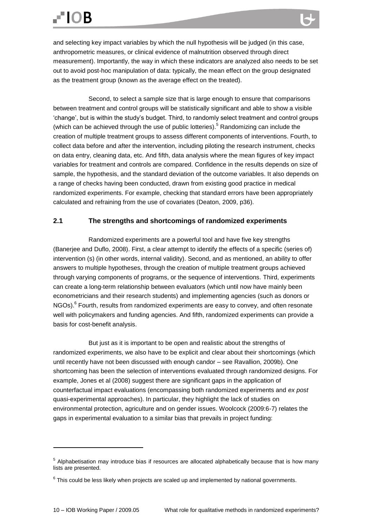**.** 

and selecting key impact variables by which the null hypothesis will be judged (in this case, anthropometric measures, or clinical evidence of malnutrition observed through direct measurement). Importantly, the way in which these indicators are analyzed also needs to be set out to avoid post-hoc manipulation of data: typically, the mean effect on the group designated as the treatment group (known as the average effect on the treated).

Second, to select a sample size that is large enough to ensure that comparisons between treatment and control groups will be statistically significant and able to show a visible "change", but is within the study"s budget. Third, to randomly select treatment and control groups (which can be achieved through the use of public lotteries).<sup>5</sup> Randomizing can include the creation of multiple treatment groups to assess different components of interventions. Fourth, to collect data before and after the intervention, including piloting the research instrument, checks on data entry, cleaning data, etc. And fifth, data analysis where the mean figures of key impact variables for treatment and controls are compared. Confidence in the results depends on size of sample, the hypothesis, and the standard deviation of the outcome variables. It also depends on a range of checks having been conducted, drawn from existing good practice in medical randomized experiments. For example, checking that standard errors have been appropriately calculated and refraining from the use of covariates (Deaton, 2009, p36).

#### <span id="page-9-0"></span>**2.1 The strengths and shortcomings of randomized experiments**

Randomized experiments are a powerful tool and have five key strengths (Banerjee and Duflo, 2008). First, a clear attempt to identify the effects of a specific (series of) intervention (s) (in other words, internal validity). Second, and as mentioned, an ability to offer answers to multiple hypotheses, through the creation of multiple treatment groups achieved through varying components of programs, or the sequence of interventions. Third, experiments can create a long-term relationship between evaluators (which until now have mainly been econometricians and their research students) and implementing agencies (such as donors or NGOs).<sup>6</sup> Fourth, results from randomized experiments are easy to convey, and often resonate well with policymakers and funding agencies. And fifth, randomized experiments can provide a basis for cost-benefit analysis.

But just as it is important to be open and realistic about the strengths of randomized experiments, we also have to be explicit and clear about their shortcomings (which until recently have not been discussed with enough candor – see Ravallion, 2009b). One shortcoming has been the selection of interventions evaluated through randomized designs. For example, Jones et al (2008) suggest there are significant gaps in the application of counterfactual impact evaluations (encompassing both randomized experiments and *ex post* quasi-experimental approaches). In particular, they highlight the lack of studies on environmental protection, agriculture and on gender issues. Woolcock (2009:6-7) relates the gaps in experimental evaluation to a similar bias that prevails in project funding:

<sup>&</sup>lt;sup>5</sup> Alphabetisation may introduce bias if resources are allocated alphabetically because that is how many lists are presented.

 $6$  This could be less likely when projects are scaled up and implemented by national governments.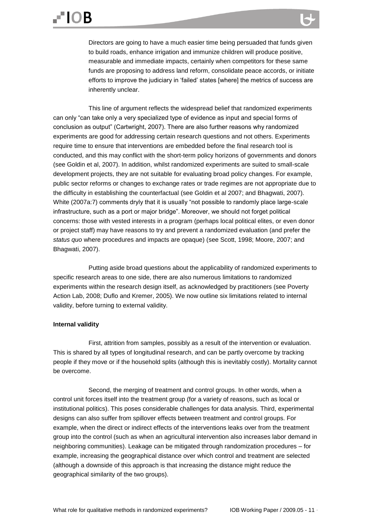Directors are going to have a much easier time being persuaded that funds given to build roads, enhance irrigation and immunize children will produce positive, measurable and immediate impacts, certainly when competitors for these same funds are proposing to address land reform, consolidate peace accords, or initiate efforts to improve the judiciary in "failed" states [where] the metrics of success are inherently unclear.

This line of argument reflects the widespread belief that randomized experiments can only "can take only a very specialized type of evidence as input and special forms of conclusion as output" (Cartwright, 2007). There are also further reasons why randomized experiments are good for addressing certain research questions and not others. Experiments require time to ensure that interventions are embedded before the final research tool is conducted, and this may conflict with the short-term policy horizons of governments and donors (see Goldin et al, 2007). In addition, whilst randomized experiments are suited to small-scale development projects, they are not suitable for evaluating broad policy changes. For example, public sector reforms or changes to exchange rates or trade regimes are not appropriate due to the difficulty in establishing the counterfactual (see Goldin et al 2007; and Bhagwati, 2007). White (2007a:7) comments dryly that it is usually "not possible to randomly place large-scale infrastructure, such as a port or major bridge". Moreover, we should not forget political concerns: those with vested interests in a program (perhaps local political elites, or even donor or project staff) may have reasons to try and prevent a randomized evaluation (and prefer the *status quo* where procedures and impacts are opaque) (see Scott, 1998; Moore, 2007; and Bhagwati, 2007).

Putting aside broad questions about the applicability of randomized experiments to specific research areas to one side, there are also numerous limitations to randomized experiments within the research design itself, as acknowledged by practitioners (see Poverty Action Lab, 2008; Duflo and Kremer, 2005). We now outline six limitations related to internal validity, before turning to external validity.

#### <span id="page-10-0"></span>**Internal validity**

First, attrition from samples, possibly as a result of the intervention or evaluation. This is shared by all types of longitudinal research, and can be partly overcome by tracking people if they move or if the household splits (although this is inevitably costly). Mortality cannot be overcome.

Second, the merging of treatment and control groups. In other words, when a control unit forces itself into the treatment group (for a variety of reasons, such as local or institutional politics). This poses considerable challenges for data analysis. Third, experimental designs can also suffer from spillover effects between treatment and control groups. For example, when the direct or indirect effects of the interventions leaks over from the treatment group into the control (such as when an agricultural intervention also increases labor demand in neighboring communities). Leakage can be mitigated through randomization procedures – for example, increasing the geographical distance over which control and treatment are selected (although a downside of this approach is that increasing the distance might reduce the geographical similarity of the two groups).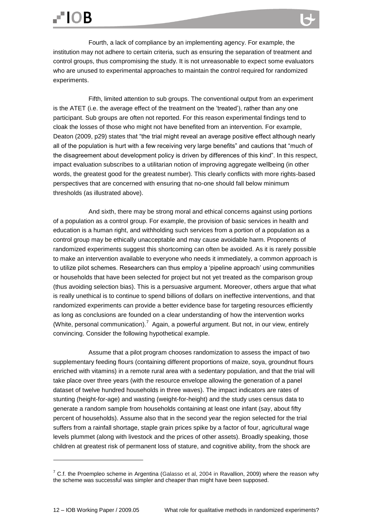# **FIOB**

**.** 

Fourth, a lack of compliance by an implementing agency. For example, the institution may not adhere to certain criteria, such as ensuring the separation of treatment and control groups, thus compromising the study. It is not unreasonable to expect some evaluators who are unused to experimental approaches to maintain the control required for randomized experiments.

Fifth, limited attention to sub groups. The conventional output from an experiment is the ATET (i.e. the average effect of the treatment on the "treated"), rather than any one participant. Sub groups are often not reported. For this reason experimental findings tend to cloak the losses of those who might not have benefited from an intervention. For example, Deaton (2009, p29) states that "the trial might reveal an average positive effect although nearly all of the population is hurt with a few receiving very large benefits" and cautions that "much of the disagreement about development policy is driven by differences of this kind". In this respect, impact evaluation subscribes to a utilitarian notion of improving aggregate wellbeing (in other words, the greatest good for the greatest number). This clearly conflicts with more rights-based perspectives that are concerned with ensuring that no-one should fall below minimum thresholds (as illustrated above).

And sixth, there may be strong moral and ethical concerns against using portions of a population as a control group. For example, the provision of basic services in health and education is a human right, and withholding such services from a portion of a population as a control group may be ethically unacceptable and may cause avoidable harm. Proponents of randomized experiments suggest this shortcoming can often be avoided. As it is rarely possible to make an intervention available to everyone who needs it immediately, a common approach is to utilize pilot schemes. Researchers can thus employ a 'pipeline approach' using communities or households that have been selected for project but not yet treated as the comparison group (thus avoiding selection bias). This is a persuasive argument. Moreover, others argue that what is really unethical is to continue to spend billions of dollars on ineffective interventions, and that randomized experiments can provide a better evidence base for targeting resources efficiently as long as conclusions are founded on a clear understanding of how the intervention works (White, personal communication).<sup>7</sup> Again, a powerful argument. But not, in our view, entirely convincing. Consider the following hypothetical example.

Assume that a pilot program chooses randomization to assess the impact of two supplementary feeding flours (containing different proportions of maize, soya, groundnut flours enriched with vitamins) in a remote rural area with a sedentary population, and that the trial will take place over three years (with the resource envelope allowing the generation of a panel dataset of twelve hundred households in three waves). The impact indicators are rates of stunting (height-for-age) and wasting (weight-for-height) and the study uses census data to generate a random sample from households containing at least one infant (say, about fifty percent of households). Assume also that in the second year the region selected for the trial suffers from a rainfall shortage, staple grain prices spike by a factor of four, agricultural wage levels plummet (along with livestock and the prices of other assets). Broadly speaking, those children at greatest risk of permanent loss of stature, and cognitive ability, from the shock are

 $7$  C.f. the Proempleo scheme in Argentina (Galasso et al, 2004 in Ravallion, 2009) where the reason why the scheme was successful was simpler and cheaper than might have been supposed.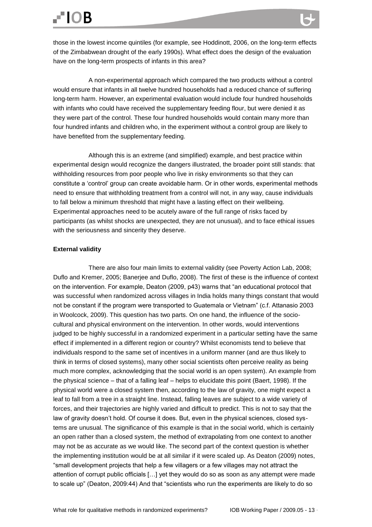# **FIOB**

A non-experimental approach which compared the two products without a control would ensure that infants in all twelve hundred households had a reduced chance of suffering long-term harm. However, an experimental evaluation would include four hundred households with infants who could have received the supplementary feeding flour, but were denied it as they were part of the control. These four hundred households would contain many more than four hundred infants and children who, in the experiment without a control group are likely to have benefited from the supplementary feeding.

Although this is an extreme (and simplified) example, and best practice within experimental design would recognize the dangers illustrated, the broader point still stands: that withholding resources from poor people who live in risky environments so that they can constitute a "control" group can create avoidable harm. Or in other words, experimental methods need to ensure that withholding treatment from a control will not, in any way, cause individuals to fall below a minimum threshold that might have a lasting effect on their wellbeing. Experimental approaches need to be acutely aware of the full range of risks faced by participants (as whilst shocks are unexpected, they are not unusual), and to face ethical issues with the seriousness and sincerity they deserve.

#### <span id="page-12-0"></span>**External validity**

There are also four main limits to external validity (see Poverty Action Lab, 2008; Duflo and Kremer, 2005; Banerjee and Duflo, 2008). The first of these is the influence of context on the intervention. For example, Deaton (2009, p43) warns that "an educational protocol that was successful when randomized across villages in India holds many things constant that would not be constant if the program were transported to Guatemala or Vietnam" (c.f. Attanasio 2003 in Woolcock, 2009). This question has two parts. On one hand, the influence of the sociocultural and physical environment on the intervention. In other words, would interventions judged to be highly successful in a randomized experiment in a particular setting have the same effect if implemented in a different region or country? Whilst economists tend to believe that individuals respond to the same set of incentives in a uniform manner (and are thus likely to think in terms of closed systems), many other social scientists often perceive reality as being much more complex, acknowledging that the social world is an open system). An example from the physical science – that of a falling leaf – helps to elucidate this point (Baert, 1998). If the physical world were a closed system then, according to the law of gravity, one might expect a leaf to fall from a tree in a straight line. Instead, falling leaves are subject to a wide variety of forces, and their trajectories are highly varied and difficult to predict. This is not to say that the law of gravity doesn"t hold. Of course it does. But, even in the physical sciences, closed systems are unusual. The significance of this example is that in the social world, which is certainly an open rather than a closed system, the method of extrapolating from one context to another may not be as accurate as we would like. The second part of the context question is whether the implementing institution would be at all similar if it were scaled up. As Deaton (2009) notes, "small development projects that help a few villagers or a few villages may not attract the attention of corrupt public officials […] yet they would do so as soon as any attempt were made to scale up" (Deaton, 2009:44) And that "scientists who run the experiments are likely to do so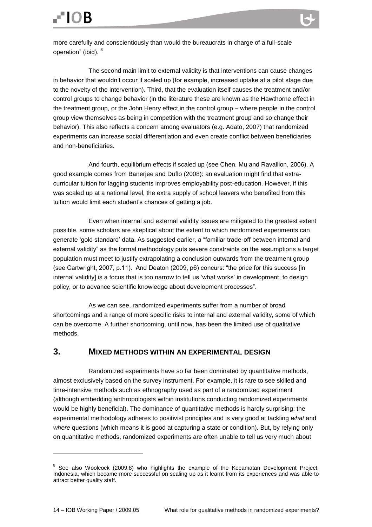more carefully and conscientiously than would the bureaucrats in charge of a full-scale operation" (ibid). <sup>8</sup>

The second main limit to external validity is that interventions can cause changes in behavior that wouldn"t occur if scaled up (for example, increased uptake at a pilot stage due to the novelty of the intervention). Third, that the evaluation itself causes the treatment and/or control groups to change behavior (in the literature these are known as the Hawthorne effect in the treatment group, or the John Henry effect in the control group – where people in the control group view themselves as being in competition with the treatment group and so change their behavior). This also reflects a concern among evaluators (e.g. Adato, 2007) that randomized experiments can increase social differentiation and even create conflict between beneficiaries and non-beneficiaries.

And fourth, equilibrium effects if scaled up (see Chen, Mu and Ravallion, 2006). A good example comes from Banerjee and Duflo (2008): an evaluation might find that extracurricular tuition for lagging students improves employability post-education. However, if this was scaled up at a national level, the extra supply of school leavers who benefited from this tuition would limit each student"s chances of getting a job.

Even when internal and external validity issues are mitigated to the greatest extent possible, some scholars are skeptical about the extent to which randomized experiments can generate "gold standard" data. As suggested earlier, a "familiar trade-off between internal and external validity" as the formal methodology puts severe constraints on the assumptions a target population must meet to justify extrapolating a conclusion outwards from the treatment group (see Cartwright, 2007, p.11). And Deaton (2009, p6) concurs: "the price for this success [in internal validity] is a focus that is too narrow to tell us 'what works' in development, to design policy, or to advance scientific knowledge about development processes".

As we can see, randomized experiments suffer from a number of broad shortcomings and a range of more specific risks to internal and external validity, some of which can be overcome. A further shortcoming, until now, has been the limited use of qualitative methods.

#### <span id="page-13-0"></span>**3. MIXED METHODS WITHIN AN EXPERIMENTAL DESIGN**

Randomized experiments have so far been dominated by quantitative methods, almost exclusively based on the survey instrument. For example, it is rare to see skilled and time-intensive methods such as ethnography used as part of a randomized experiment (although embedding anthropologists within institutions conducting randomized experiments would be highly beneficial). The dominance of quantitative methods is hardly surprising: the experimental methodology adheres to positivist principles and is very good at tackling *what* and *where* questions (which means it is good at capturing a state or condition). But, by relying only on quantitative methods, randomized experiments are often unable to tell us very much about

1

<sup>&</sup>lt;sup>8</sup> See also Woolcock (2009:8) who highlights the example of the Kecamatan Development Project, Indonesia, which became more successful on scaling up as it learnt from its experiences and was able to attract better quality staff.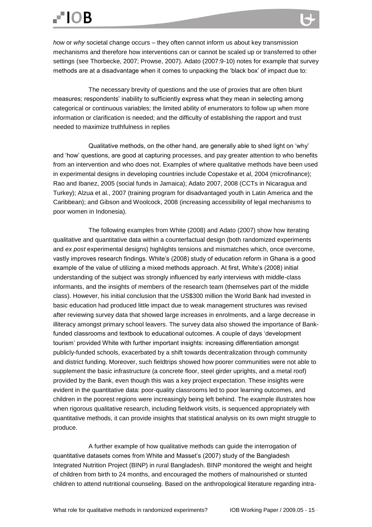## **FIOB**

*how* or *why* societal change occurs – they often cannot inform us about key transmission mechanisms and therefore how interventions can or cannot be scaled up or transferred to other settings (see Thorbecke, 2007; Prowse, 2007). Adato (2007:9-10) notes for example that survey methods are at a disadvantage when it comes to unpacking the "black box" of impact due to:

The necessary brevity of questions and the use of proxies that are often blunt measures; respondents" inability to sufficiently express what they mean in selecting among categorical or continuous variables; the limited ability of enumerators to follow up when more information or clarification is needed; and the difficulty of establishing the rapport and trust needed to maximize truthfulness in replies

Qualitative methods, on the other hand, are generally able to shed light on "why" and "how" questions, are good at capturing processes, and pay greater attention to who benefits from an intervention and who does not. Examples of where qualitative methods have been used in experimental designs in developing countries include Copestake et al, 2004 (microfinance); Rao and Ibanez, 2005 (social funds in Jamaica); Adato 2007, 2008 (CCTs in Nicaragua and Turkey); Alzua et al., 2007 (training program for disadvantaged youth in Latin America and the Caribbean); and Gibson and Woolcock, 2008 (increasing accessibility of legal mechanisms to poor women in Indonesia).

The following examples from White (2008) and Adato (2007) show how iterating qualitative and quantitative data within a counterfactual design (both randomized experiments and *ex post* experimental designs) highlights tensions and mismatches which, once overcome, vastly improves research findings. White"s (2008) study of education reform in Ghana is a good example of the value of utilizing a mixed methods approach. At first, White's (2008) initial understanding of the subject was strongly influenced by early interviews with middle-class informants, and the insights of members of the research team (themselves part of the middle class). However, his initial conclusion that the US\$300 million the World Bank had invested in basic education had produced little impact due to weak management structures was revised after reviewing survey data that showed large increases in enrolments, and a large decrease in illiteracy amongst primary school leavers. The survey data also showed the importance of Bankfunded classrooms and textbook to educational outcomes. A couple of days "development tourism" provided White with further important insights: increasing differentiation amongst publicly-funded schools, exacerbated by a shift towards decentralization through community and district funding. Moreover, such fieldtrips showed how poorer communities were not able to supplement the basic infrastructure (a concrete floor, steel girder uprights, and a metal roof) provided by the Bank, even though this was a key project expectation. These insights were evident in the quantitative data: poor-quality classrooms led to poor learning outcomes, and children in the poorest regions were increasingly being left behind. The example illustrates how when rigorous qualitative research, including fieldwork visits, is sequenced appropriately with quantitative methods, it can provide insights that statistical analysis on its own might struggle to produce.

A further example of how qualitative methods can guide the interrogation of quantitative datasets comes from White and Masset"s (2007) study of the Bangladesh Integrated Nutrition Project (BINP) in rural Bangladesh. BINP monitored the weight and height of children from birth to 24 months, and encouraged the mothers of malnourished or stunted children to attend nutritional counseling. Based on the anthropological literature regarding intra-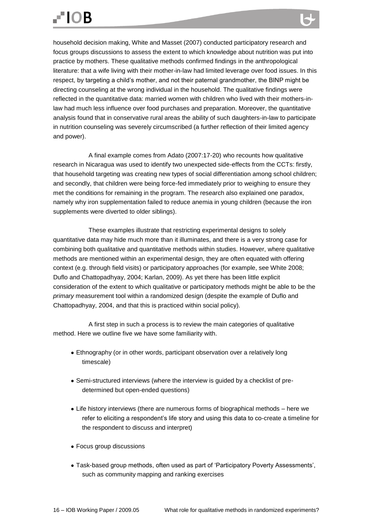household decision making, White and Masset (2007) conducted participatory research and focus groups discussions to assess the extent to which knowledge about nutrition was put into practice by mothers. These qualitative methods confirmed findings in the anthropological literature: that a wife living with their mother-in-law had limited leverage over food issues. In this respect, by targeting a child"s mother, and not their paternal grandmother, the BINP might be directing counseling at the wrong individual in the household. The qualitative findings were reflected in the quantitative data: married women with children who lived with their mothers-inlaw had much less influence over food purchases and preparation. Moreover, the quantitative analysis found that in conservative rural areas the ability of such daughters-in-law to participate in nutrition counseling was severely circumscribed (a further reflection of their limited agency and power).

A final example comes from Adato (2007:17-20) who recounts how qualitative research in Nicaragua was used to identify two unexpected side-effects from the CCTs: firstly, that household targeting was creating new types of social differentiation among school children; and secondly, that children were being force-fed immediately prior to weighing to ensure they met the conditions for remaining in the program. The research also explained one paradox, namely why iron supplementation failed to reduce anemia in young children (because the iron supplements were diverted to older siblings).

These examples illustrate that restricting experimental designs to solely quantitative data may hide much more than it illuminates, and there is a very strong case for combining both qualitative and quantitative methods within studies. However, where qualitative methods are mentioned within an experimental design, they are often equated with offering context (e.g. through field visits) or participatory approaches (for example, see White 2008; Duflo and Chattopadhyay, 2004; Karlan, 2009). As yet there has been little explicit consideration of the extent to which qualitative or participatory methods might be able to be the *primary* measurement tool within a randomized design (despite the example of Duflo and Chattopadhyay, 2004, and that this is practiced within social policy).

A first step in such a process is to review the main categories of qualitative method. Here we outline five we have some familiarity with.

- Ethnography (or in other words, participant observation over a relatively long timescale)
- Semi-structured interviews (where the interview is guided by a checklist of predetermined but open-ended questions)
- Life history interviews (there are numerous forms of biographical methods here we refer to eliciting a respondent"s life story and using this data to co-create a timeline for the respondent to discuss and interpret)
- Focus group discussions
- Task-based group methods, often used as part of 'Participatory Poverty Assessments', such as community mapping and ranking exercises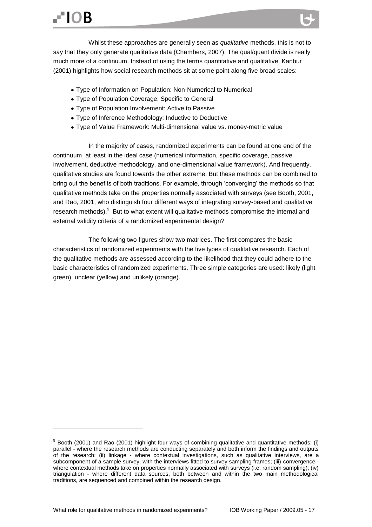Whilst these approaches are generally seen as *qualitative* methods, this is not to say that they only generate qualitative data (Chambers, 2007). The qual/quant divide is really much more of a continuum. Instead of using the terms quantitative and qualitative, Kanbur (2001) highlights how social research methods sit at some point along five broad scales:

- Type of Information on Population: Non-Numerical to Numerical
- Type of Population Coverage: Specific to General
- Type of Population Involvement: Active to Passive
- Type of Inference Methodology: Inductive to Deductive
- Type of Value Framework: Multi-dimensional value vs. money-metric value

In the majority of cases, randomized experiments can be found at one end of the continuum, at least in the ideal case (numerical information, specific coverage, passive involvement, deductive methodology, and one-dimensional value framework). And frequently, qualitative studies are found towards the other extreme. But these methods can be combined to bring out the benefits of both traditions. For example, through "converging" the methods so that qualitative methods take on the properties normally associated with surveys (see Booth, 2001, and Rao, 2001, who distinguish four different ways of integrating survey-based and qualitative research methods). <sup>9</sup> But to what extent will qualitative methods compromise the internal and external validity criteria of a randomized experimental design?

The following two figures show two matrices. The first compares the basic characteristics of randomized experiments with the five types of qualitative research. Each of the qualitative methods are assessed according to the likelihood that they could adhere to the basic characteristics of randomized experiments. Three simple categories are used: likely (light green), unclear (yellow) and unlikely (orange).

<sup>&</sup>lt;sup>9</sup> Booth (2001) and Rao (2001) highlight four ways of combining qualitative and quantitative methods: (i) parallel - where the research methods are conducting separately and both inform the findings and outputs of the research; (ii) linkage - where contextual investigations, such as qualitative interviews, are a subcomponent of a sample survey, with the interviews fitted to survey sampling frames; (iii) convergence where contextual methods take on properties normally associated with surveys (i.e. random sampling); (iv) triangulation - where different data sources, both between and within the two main methodological traditions, are sequenced and combined within the research design.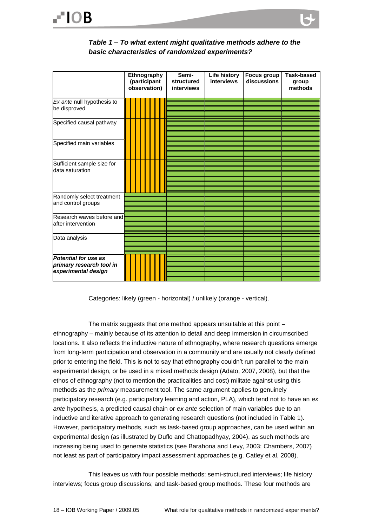<span id="page-17-0"></span>

|                                                                                | Ethnography<br>(participant<br>observation) |  |  | Semi-<br>structured<br><b>interviews</b> | Life history<br><b>interviews</b> | <b>Focus group</b><br>discussions | <b>Task-based</b><br>group<br>methods |  |
|--------------------------------------------------------------------------------|---------------------------------------------|--|--|------------------------------------------|-----------------------------------|-----------------------------------|---------------------------------------|--|
| Ex ante null hypothesis to<br>be disproved                                     |                                             |  |  |                                          |                                   |                                   |                                       |  |
| Specified causal pathway                                                       |                                             |  |  |                                          |                                   |                                   |                                       |  |
| Specified main variables                                                       |                                             |  |  |                                          |                                   |                                   |                                       |  |
| Sufficient sample size for<br>data saturation                                  |                                             |  |  |                                          |                                   |                                   |                                       |  |
| Randomly select treatment<br>and control groups                                |                                             |  |  |                                          |                                   |                                   |                                       |  |
| Research waves before and<br>after intervention                                |                                             |  |  |                                          |                                   |                                   |                                       |  |
| Data analysis                                                                  |                                             |  |  |                                          |                                   |                                   |                                       |  |
| <b>Potential for use as</b><br>primary research tool in<br>experimental design |                                             |  |  |                                          |                                   |                                   |                                       |  |

Categories: likely (green - horizontal) / unlikely (orange - vertical).

The matrix suggests that one method appears unsuitable at this point – ethnography – mainly because of its attention to detail and deep immersion in circumscribed locations. It also reflects the inductive nature of ethnography, where research questions emerge from long-term participation and observation in a community and are usually not clearly defined prior to entering the field. This is not to say that ethnography couldn"t run parallel to the main experimental design, or be used in a mixed methods design (Adato, 2007, 2008), but that the ethos of ethnography (not to mention the practicalities and cost) militate against using this methods as the *primary* measurement tool. The same argument applies to genuinely participatory research (e.g. participatory learning and action, PLA), which tend not to have an *ex ante* hypothesis, a predicted causal chain or *ex ante* selection of main variables due to an inductive and iterative approach to generating research questions (not included in Table 1). However, participatory methods, such as task-based group approaches, can be used within an experimental design (as illustrated by Duflo and Chattopadhyay, 2004), as such methods are increasing being used to generate statistics (see Barahona and Levy, 2003; Chambers, 2007) not least as part of participatory impact assessment approaches (e.g. Catley et al, 2008).

This leaves us with four possible methods: semi-structured interviews; life history interviews; focus group discussions; and task-based group methods. These four methods are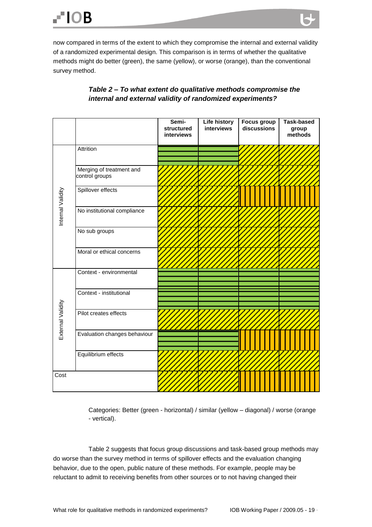now compared in terms of the extent to which they compromise the internal and external validity of a randomized experimental design. This comparison is in terms of whether the qualitative methods might do better (green), the same (yellow), or worse (orange), than the conventional survey method.

<span id="page-18-0"></span>

|                   |                                            | Semi-<br>structured<br>interviews | <b>Life history</b><br>interviews | Focus group<br>discussions | <b>Task-based</b><br>group<br>methods |
|-------------------|--------------------------------------------|-----------------------------------|-----------------------------------|----------------------------|---------------------------------------|
|                   | Attrition                                  |                                   |                                   |                            |                                       |
| Internal Validity | Merging of treatment and<br>control groups |                                   |                                   |                            |                                       |
|                   | Spillover effects                          |                                   |                                   |                            |                                       |
|                   | No institutional compliance                |                                   |                                   |                            |                                       |
|                   | No sub groups                              |                                   |                                   |                            |                                       |
|                   | Moral or ethical concerns                  |                                   | <b>Contract</b>                   |                            |                                       |
| External Validity | Context - environmental                    |                                   |                                   |                            |                                       |
|                   | Context - institutional                    |                                   |                                   |                            |                                       |
|                   | Pilot creates effects                      |                                   |                                   |                            |                                       |
|                   | Evaluation changes behaviour               |                                   |                                   |                            |                                       |
|                   | Equilibrium effects                        |                                   |                                   |                            |                                       |
| Cost              |                                            |                                   |                                   |                            |                                       |

#### *Table 2 – To what extent do qualitative methods compromise the internal and external validity of randomized experiments?*

Categories: Better (green - horizontal) / similar (yellow – diagonal) / worse (orange - vertical).

Table 2 suggests that focus group discussions and task-based group methods may do worse than the survey method in terms of spillover effects and the evaluation changing behavior, due to the open, public nature of these methods. For example, people may be reluctant to admit to receiving benefits from other sources or to not having changed their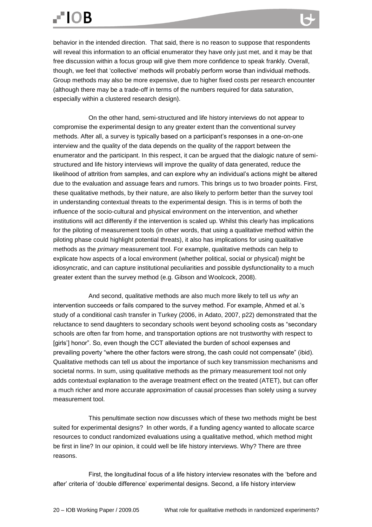## $-10B$

behavior in the intended direction. That said, there is no reason to suppose that respondents will reveal this information to an official enumerator they have only just met, and it may be that free discussion within a focus group will give them more confidence to speak frankly. Overall, though, we feel that "collective" methods will probably perform worse than individual methods. Group methods may also be more expensive, due to higher fixed costs per research encounter (although there may be a trade-off in terms of the numbers required for data saturation, especially within a clustered research design).

On the other hand, semi-structured and life history interviews do not appear to compromise the experimental design to any greater extent than the conventional survey methods. After all, a survey is typically based on a participant"s responses in a one-on-one interview and the quality of the data depends on the quality of the rapport between the enumerator and the participant. In this respect, it can be argued that the dialogic nature of semistructured and life history interviews will improve the quality of data generated, reduce the likelihood of attrition from samples, and can explore why an individual"s actions might be altered due to the evaluation and assuage fears and rumors. This brings us to two broader points. First, these qualitative methods, by their nature, are also likely to perform better than the survey tool in understanding contextual threats to the experimental design. This is in terms of both the influence of the socio-cultural and physical environment on the intervention, and whether institutions will act differently if the intervention is scaled up. Whilst this clearly has implications for the piloting of measurement tools (in other words, that using a qualitative method within the piloting phase could highlight potential threats), it also has implications for using qualitative methods as the *primary* measurement tool. For example, qualitative methods can help to explicate how aspects of a local environment (whether political, social or physical) might be idiosyncratic, and can capture institutional peculiarities and possible dysfunctionality to a much greater extent than the survey method (e.g. Gibson and Woolcock, 2008).

And second, qualitative methods are also much more likely to tell us *why* an intervention succeeds or fails compared to the survey method. For example, Ahmed et al."s study of a conditional cash transfer in Turkey (2006, in Adato, 2007, p22) demonstrated that the reluctance to send daughters to secondary schools went beyond schooling costs as "secondary schools are often far from home, and transportation options are not trustworthy with respect to [girls"] honor". So, even though the CCT alleviated the burden of school expenses and prevailing poverty "where the other factors were strong, the cash could not compensate" (ibid). Qualitative methods can tell us about the importance of such key transmission mechanisms and societal norms. In sum, using qualitative methods as the primary measurement tool not only adds contextual explanation to the average treatment effect on the treated (ATET), but can offer a much richer and more accurate approximation of causal processes than solely using a survey measurement tool.

This penultimate section now discusses which of these two methods might be best suited for experimental designs? In other words, if a funding agency wanted to allocate scarce resources to conduct randomized evaluations using a qualitative method, which method might be first in line? In our opinion, it could well be life history interviews. Why? There are three reasons.

First, the longitudinal focus of a life history interview resonates with the "before and after" criteria of "double difference" experimental designs. Second, a life history interview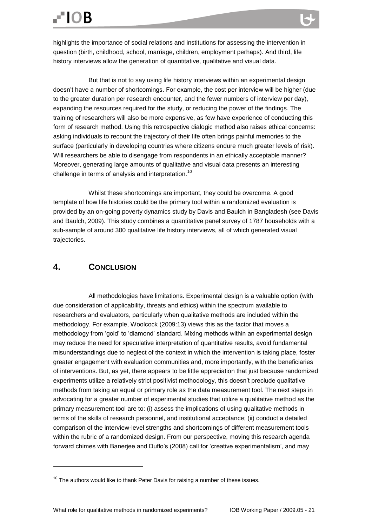highlights the importance of social relations and institutions for assessing the intervention in question (birth, childhood, school, marriage, children, employment perhaps). And third, life history interviews allow the generation of quantitative, qualitative and visual data.

But that is not to say using life history interviews within an experimental design doesn"t have a number of shortcomings. For example, the cost per interview will be higher (due to the greater duration per research encounter, and the fewer numbers of interview per day), expanding the resources required for the study, or reducing the power of the findings. The training of researchers will also be more expensive, as few have experience of conducting this form of research method. Using this retrospective dialogic method also raises ethical concerns: asking individuals to recount the trajectory of their life often brings painful memories to the surface (particularly in developing countries where citizens endure much greater levels of risk). Will researchers be able to disengage from respondents in an ethically acceptable manner? Moreover, generating large amounts of qualitative and visual data presents an interesting challenge in terms of analysis and interpretation.<sup>10</sup>

Whilst these shortcomings are important, they could be overcome. A good template of how life histories could be the primary tool within a randomized evaluation is provided by an on-going poverty dynamics study by Davis and Baulch in Bangladesh (see Davis and Baulch, 2009). This study combines a quantitative panel survey of 1787 households with a sub-sample of around 300 qualitative life history interviews, all of which generated visual trajectories.

#### <span id="page-20-0"></span>**4. CONCLUSION**

**.** 

All methodologies have limitations. Experimental design is a valuable option (with due consideration of applicability, threats and ethics) within the spectrum available to researchers and evaluators, particularly when qualitative methods are included within the methodology. For example, Woolcock (2009:13) views this as the factor that moves a methodology from "gold" to "diamond" standard. Mixing methods within an experimental design may reduce the need for speculative interpretation of quantitative results, avoid fundamental misunderstandings due to neglect of the context in which the intervention is taking place, foster greater engagement with evaluation communities and, more importantly, with the beneficiaries of interventions. But, as yet, there appears to be little appreciation that just because randomized experiments utilize a relatively strict positivist methodology, this doesn"t preclude qualitative methods from taking an equal or primary role as the data measurement tool. The next steps in advocating for a greater number of experimental studies that utilize a qualitative method as the primary measurement tool are to: (i) assess the implications of using qualitative methods in terms of the skills of research personnel, and institutional acceptance; (ii) conduct a detailed comparison of the interview-level strengths and shortcomings of different measurement tools within the rubric of a randomized design. From our perspective, moving this research agenda forward chimes with Banerjee and Duflo"s (2008) call for "creative experimentalism", and may

 $10$  The authors would like to thank Peter Davis for raising a number of these issues.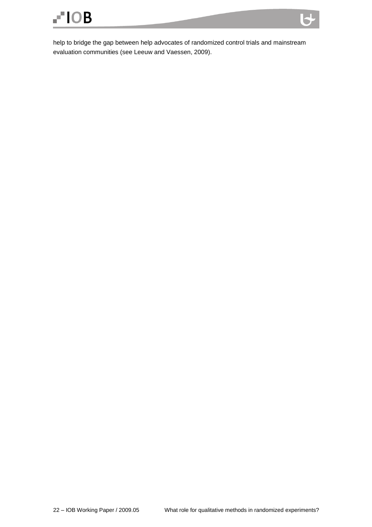help to bridge the gap between help advocates of randomized control trials and mainstream evaluation communities (see Leeuw and Vaessen, 2009).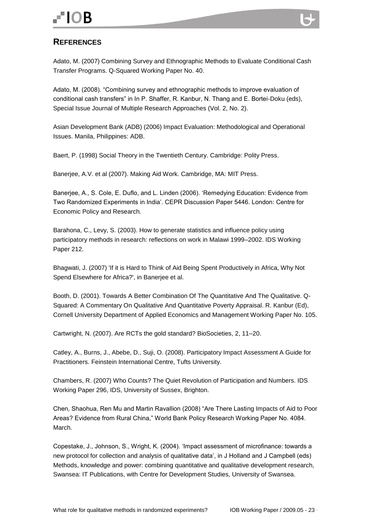# $-10B$

<span id="page-22-0"></span>

Adato, M. (2007) Combining Survey and Ethnographic Methods to Evaluate Conditional Cash Transfer Programs. Q-Squared Working Paper No. 40.

Adato, M. (2008). "Combining survey and ethnographic methods to improve evaluation of conditional cash transfers" in In P. Shaffer, R. Kanbur, N. Thang and E. Bortei-Doku (eds), Special Issue Journal of Multiple Research Approaches (Vol. 2, No. 2).

Asian Development Bank (ADB) (2006) Impact Evaluation: Methodological and Operational Issues. Manila, Philippines: ADB.

Baert, P. (1998) Social Theory in the Twentieth Century. Cambridge: Polity Press.

Banerjee, A.V. et al (2007). Making Aid Work. Cambridge, MA: MIT Press.

Banerjee, A., S. Cole, E. Duflo, and L. Linden (2006). "Remedying Education: Evidence from Two Randomized Experiments in India". CEPR Discussion Paper 5446. London: Centre for Economic Policy and Research.

Barahona, C., Levy, S. (2003). How to generate statistics and influence policy using participatory methods in research: reflections on work in Malawi 1999–2002. IDS Working Paper 212.

Bhagwati, J. (2007) 'If it is Hard to Think of Aid Being Spent Productively in Africa, Why Not Spend Elsewhere for Africa?', in Banerjee et al.

Booth, D. (2001). Towards A Better Combination Of The Quantitative And The Qualitative. Q-Squared: A Commentary On Qualitative And Quantitative Poverty Appraisal. R. Kanbur (Ed), Cornell University Department of Applied Economics and Management Working Paper No. 105.

Cartwright, N. (2007). Are RCTs the gold standard? BioSocieties, 2, 11–20.

Catley, A., Burns, J., Abebe, D., Suji, O. (2008). Participatory Impact Assessment A Guide for Practitioners. Feinstein International Centre, Tufts University.

Chambers, R. (2007) Who Counts? The Quiet Revolution of Participation and Numbers. IDS Working Paper 296, IDS, University of Sussex, Brighton.

Chen, Shaohua, Ren Mu and Martin Ravallion (2008) "Are There Lasting Impacts of Aid to Poor Areas? Evidence from Rural China," World Bank Policy Research Working Paper No. 4084. March.

Copestake, J., Johnson, S., Wright, K. (2004). "Impact assessment of microfinance: towards a new protocol for collection and analysis of qualitative data', in J Holland and J Campbell (eds) Methods, knowledge and power: combining quantitative and qualitative development research, Swansea: IT Publications, with Centre for Development Studies, University of Swansea.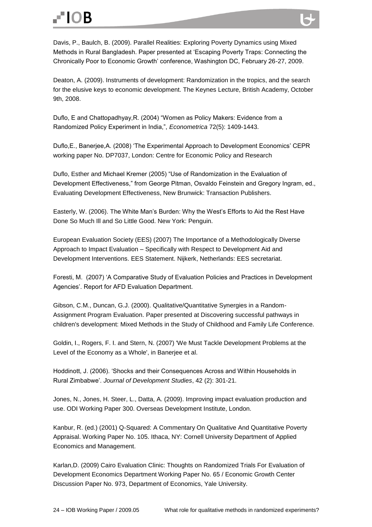### $-10B$

Davis, P., Baulch, B. (2009). Parallel Realities: Exploring Poverty Dynamics using Mixed Methods in Rural Bangladesh. Paper presented at "Escaping Poverty Traps: Connecting the Chronically Poor to Economic Growth" conference, Washington DC, February 26-27, 2009.

Deaton, A. (2009). Instruments of development: Randomization in the tropics, and the search for the elusive keys to economic development. The Keynes Lecture, British Academy, October 9th, 2008.

Duflo, E and Chattopadhyay,R. (2004) "Women as Policy Makers: Evidence from a Randomized Policy Experiment in India,", *Econometrica* 72(5): 1409-1443.

Duflo,E., Banerjee,A. (2008) "The Experimental Approach to Development Economics" CEPR working paper No. DP7037, London: Centre for Economic Policy and Research

Duflo, Esther and Michael Kremer (2005) "Use of Randomization in the Evaluation of Development Effectiveness," from George Pitman, Osvaldo Feinstein and Gregory Ingram, ed., Evaluating Development Effectiveness, New Brunwick: Transaction Publishers.

Easterly, W. (2006). The White Man"s Burden: Why the West"s Efforts to Aid the Rest Have Done So Much Ill and So Little Good. New York: Penguin.

European Evaluation Society (EES) (2007) The Importance of a Methodologically Diverse Approach to Impact Evaluation – Specifically with Respect to Development Aid and Development Interventions. EES Statement. Nijkerk, Netherlands: EES secretariat.

Foresti, M. (2007) "A Comparative Study of Evaluation Policies and Practices in Development Agencies'. Report for AFD Evaluation Department.

Gibson, C.M., Duncan, G.J. (2000). Qualitative/Quantitative Synergies in a Random-Assignment Program Evaluation. Paper presented at Discovering successful pathways in children's development: Mixed Methods in the Study of Childhood and Family Life Conference.

Goldin, I., Rogers, F. I. and Stern, N. (2007) 'We Must Tackle Development Problems at the Level of the Economy as a Whole', in Banerjee et al.

Hoddinott, J. (2006). "Shocks and their Consequences Across and Within Households in Rural Zimbabwe". *Journal of Development Studies*, 42 (2): 301-21.

Jones, N., Jones, H. Steer, L., Datta, A. (2009). Improving impact evaluation production and use. ODI Working Paper 300. Overseas Development Institute, London.

Kanbur, R. (ed.) (2001) Q-Squared: A Commentary On Qualitative And Quantitative Poverty Appraisal. Working Paper No. 105. Ithaca, NY: Cornell University Department of Applied Economics and Management.

Karlan,D. (2009) Cairo Evaluation Clinic: Thoughts on Randomized Trials For Evaluation of Development Economics Department Working Paper No. 65 / Economic Growth Center Discussion Paper No. 973, Department of Economics, Yale University.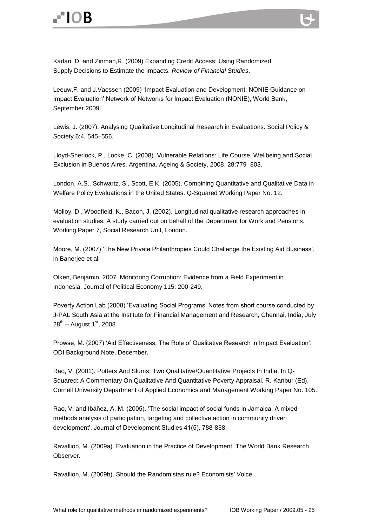Karlan, D. and Zinman,R. (2009) Expanding Credit Access: Using Randomized Supply Decisions to Estimate the Impacts. *Review of Financial Studies*.

Leeuw,F. and J.Vaessen (2009) "Impact Evaluation and Development: NONIE Guidance on Impact Evaluation" Network of Networks for Impact Evaluation (NONIE), World Bank, September 2009.

Lewis, J. (2007). Analysing Qualitative Longitudinal Research in Evaluations. Social Policy & Society 6:4, 545–556.

Lloyd-Sherlock, P., Locke, C. (2008). Vulnerable Relations: Life Course, Wellbeing and Social Exclusion in Buenos Aires, Argentina. Ageing & Society, 2008, 28:779–803.

London, A.S., Schwartz, S., Scott, E.K. (2005). Combining Quantitative and Qualitative Data in Welfare Policy Evaluations in the United States. Q-Squared Working Paper No. 12.

Molloy, D., Woodfield, K., Bacon, J. (2002). Longitudinal qualitative research approaches in evaluation studies. A study carried out on behalf of the Department for Work and Pensions. Working Paper 7, Social Research Unit, London.

Moore, M. (2007) "The New Private Philanthropies Could Challenge the Existing Aid Business", in Banerjee et al.

Olken, Benjamin. 2007. Monitoring Corruption: Evidence from a Field Experiment in Indonesia. Journal of Political Economy 115: 200-249.

Poverty Action Lab (2008) "Evaluating Social Programs" Notes from short course conducted by J-PAL South Asia at the Institute for Financial Management and Research, Chennai, India, July 28<sup>th</sup> – August 1<sup>st</sup>, 2008.

Prowse, M. (2007) "Aid Effectiveness: The Role of Qualitative Research in Impact Evaluation". ODI Background Note, December.

Rao, V. (2001). Potters And Slums: Two Qualitative/Quantitative Projects In India. In Q-Squared: A Commentary On Qualitative And Quantitative Poverty Appraisal. R. Kanbur (Ed), Cornell University Department of Applied Economics and Management Working Paper No. 105.

Rao, V. and Ibáñez, A. M. (2005). "The social impact of social funds in Jamaica: A mixedmethods analysis of participation, targeting and collective action in community driven development'. Journal of Development Studies 41(5), 788-838.

Ravallion, M. (2009a). Evaluation in the Practice of Development. The World Bank Research Observer.

Ravallion, M. (2009b). Should the Randomistas rule? Economists' Voice.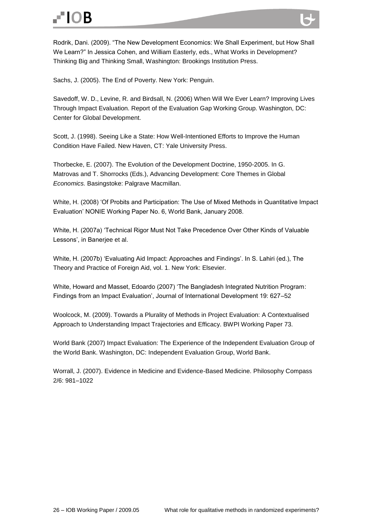Rodrik, Dani. (2009). "The New Development Economics: We Shall Experiment, but How Shall We Learn?" In Jessica Cohen, and William Easterly, eds., What Works in Development? Thinking Big and Thinking Small, Washington: Brookings Institution Press.

Sachs, J. (2005). The End of Poverty. New York: Penguin.

Savedoff, W. D., Levine, R. and Birdsall, N. (2006) When Will We Ever Learn? Improving Lives Through Impact Evaluation. Report of the Evaluation Gap Working Group. Washington, DC: Center for Global Development.

Scott, J. (1998). Seeing Like a State: How Well-Intentioned Efforts to Improve the Human Condition Have Failed. New Haven, CT: Yale University Press.

Thorbecke, E. (2007). The Evolution of the Development Doctrine, 1950-2005. In G. Matrovas and T. Shorrocks (Eds.), Advancing Development: Core Themes in Global *Economics.* Basingstoke: Palgrave Macmillan.

White, H. (2008) "Of Probits and Participation: The Use of Mixed Methods in Quantitative Impact Evaluation" NONIE Working Paper No. 6, World Bank, January 2008.

White, H. (2007a) "Technical Rigor Must Not Take Precedence Over Other Kinds of Valuable Lessons', in Banerjee et al.

White, H. (2007b) "Evaluating Aid Impact: Approaches and Findings". In S. Lahiri (ed.), The Theory and Practice of Foreign Aid, vol. 1. New York: Elsevier.

White, Howard and Masset, Edoardo (2007) "The Bangladesh Integrated Nutrition Program: Findings from an Impact Evaluation", Journal of International Development 19: 627–52

Woolcock, M. (2009). Towards a Plurality of Methods in Project Evaluation: A Contextualised Approach to Understanding Impact Trajectories and Efficacy. BWPI Working Paper 73.

World Bank (2007) Impact Evaluation: The Experience of the Independent Evaluation Group of the World Bank. Washington, DC: Independent Evaluation Group, World Bank.

Worrall, J. (2007). Evidence in Medicine and Evidence-Based Medicine. Philosophy Compass 2/6: 981–1022